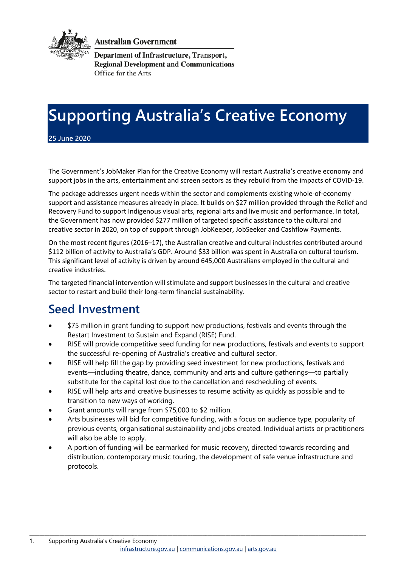

**Australian Government** 

**Department of Infrastructure, Transport, Regional Development and Communications** Office for the Arts

# **Supporting Australia's Creative Economy**

**25 June 2020**

The Government's JobMaker Plan for the Creative Economy will restart Australia's creative economy and support jobs in the arts, entertainment and screen sectors as they rebuild from the impacts of COVID-19.

The package addresses urgent needs within the sector and complements existing whole-of-economy support and assistance measures already in place. It builds on \$27 million provided through the Relief and Recovery Fund to support Indigenous visual arts, regional arts and live music and performance. In total, the Government has now provided \$277 million of targeted specific assistance to the cultural and creative sector in 2020, on top of support through JobKeeper, JobSeeker and Cashflow Payments.

On the most recent figures (2016–17), the Australian creative and cultural industries contributed around \$112 billion of activity to Australia's GDP. Around \$33 billion was spent in Australia on cultural tourism. This significant level of activity is driven by around 645,000 Australians employed in the cultural and creative industries.

The targeted financial intervention will stimulate and support businesses in the cultural and creative sector to restart and build their long-term financial sustainability.

#### **Seed Investment**

- \$75 million in grant funding to support new productions, festivals and events through the Restart Investment to Sustain and Expand (RISE) Fund.
- RISE will provide competitive seed funding for new productions, festivals and events to support the successful re-opening of Australia's creative and cultural sector.
- RISE will help fill the gap by providing seed investment for new productions, festivals and events—including theatre, dance, community and arts and culture gatherings—to partially substitute for the capital lost due to the cancellation and rescheduling of events.
- RISE will help arts and creative businesses to resume activity as quickly as possible and to transition to new ways of working.
- Grant amounts will range from \$75,000 to \$2 million.
- Arts businesses will bid for competitive funding, with a focus on audience type, popularity of previous events, organisational sustainability and jobs created. Individual artists or practitioners will also be able to apply.
- A portion of funding will be earmarked for music recovery, directed towards recording and distribution, contemporary music touring, the development of safe venue infrastructure and protocols.

\_\_\_\_\_\_\_\_\_\_\_\_\_\_\_\_\_\_\_\_\_\_\_\_\_\_\_\_\_\_\_\_\_\_\_\_\_\_\_\_\_\_\_\_\_\_\_\_\_\_\_\_\_\_\_\_\_\_\_\_\_\_\_\_\_\_\_\_\_\_\_\_\_\_\_\_\_\_\_\_\_\_\_\_\_\_\_\_\_\_\_\_\_\_\_\_\_\_\_\_\_\_\_\_\_\_\_\_\_\_\_\_\_\_\_\_\_\_\_\_\_\_\_\_\_\_\_\_\_\_\_\_\_\_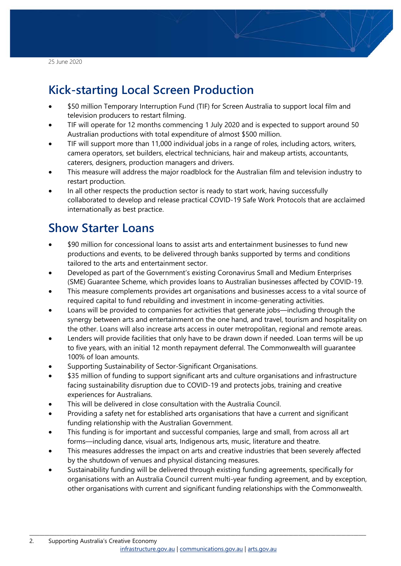25 June 2020

# **Kick-starting Local Screen Production**

- \$50 million Temporary Interruption Fund (TIF) for Screen Australia to support local film and television producers to restart filming.
- TIF will operate for 12 months commencing 1 July 2020 and is expected to support around 50 Australian productions with total expenditure of almost \$500 million.
- TIF will support more than 11,000 individual jobs in a range of roles, including actors, writers, camera operators, set builders, electrical technicians, hair and makeup artists, accountants, caterers, designers, production managers and drivers.
- This measure will address the major roadblock for the Australian film and television industry to restart production.
- In all other respects the production sector is ready to start work, having successfully collaborated to develop and release practical COVID-19 Safe Work Protocols that are acclaimed internationally as best practice.

### **Show Starter Loans**

- \$90 million for concessional loans to assist arts and entertainment businesses to fund new productions and events, to be delivered through banks supported by terms and conditions tailored to the arts and entertainment sector.
- Developed as part of the Government's existing Coronavirus Small and Medium Enterprises (SME) Guarantee Scheme, which provides loans to Australian businesses affected by COVID-19.
- This measure complements provides art organisations and businesses access to a vital source of required capital to fund rebuilding and investment in income-generating activities.
- Loans will be provided to companies for activities that generate jobs—including through the synergy between arts and entertainment on the one hand, and travel, tourism and hospitality on the other. Loans will also increase arts access in outer metropolitan, regional and remote areas.
- Lenders will provide facilities that only have to be drawn down if needed. Loan terms will be up to five years, with an initial 12 month repayment deferral. The Commonwealth will guarantee 100% of loan amounts.
- Supporting Sustainability of Sector-Significant Organisations.
- \$35 million of funding to support significant arts and culture organisations and infrastructure facing sustainability disruption due to COVID-19 and protects jobs, training and creative experiences for Australians.
- This will be delivered in close consultation with the Australia Council.
- Providing a safety net for established arts organisations that have a current and significant funding relationship with the Australian Government.
- This funding is for important and successful companies, large and small, from across all art forms—including dance, visual arts, Indigenous arts, music, literature and theatre.

\_\_\_\_\_\_\_\_\_\_\_\_\_\_\_\_\_\_\_\_\_\_\_\_\_\_\_\_\_\_\_\_\_\_\_\_\_\_\_\_\_\_\_\_\_\_\_\_\_\_\_\_\_\_\_\_\_\_\_\_\_\_\_\_\_\_\_\_\_\_\_\_\_\_\_\_\_\_\_\_\_\_\_\_\_\_\_\_\_\_\_\_\_\_\_\_\_\_\_\_\_\_\_\_\_\_\_\_\_\_\_\_\_\_\_\_\_\_\_\_\_\_\_\_\_\_\_\_\_\_\_\_\_\_

- This measures addresses the impact on arts and creative industries that been severely affected by the shutdown of venues and physical distancing measures.
- Sustainability funding will be delivered through existing funding agreements, specifically for organisations with an Australia Council current multi-year funding agreement, and by exception, other organisations with current and significant funding relationships with the Commonwealth.